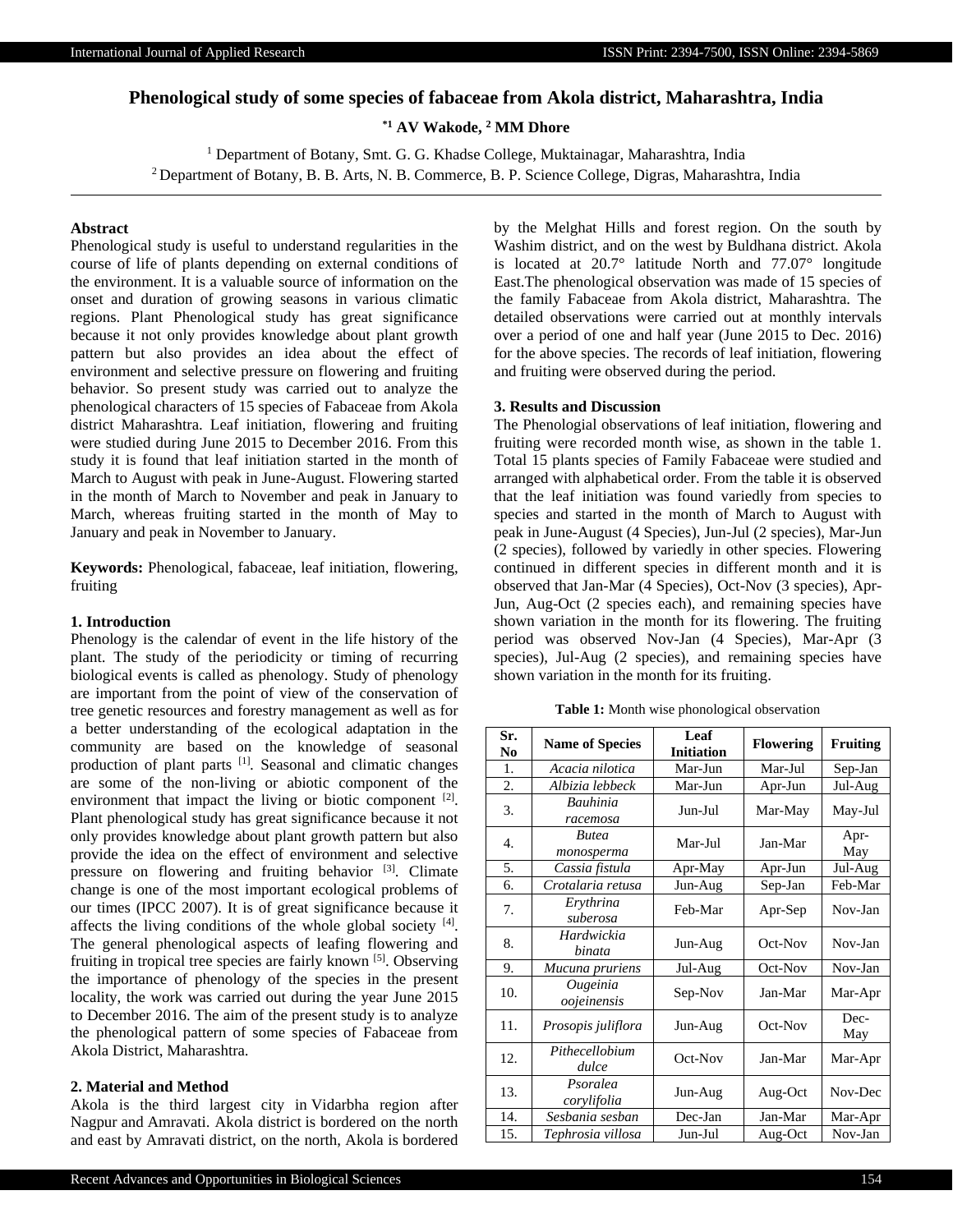# **Phenological study of some species of fabaceae from Akola district, Maharashtra, India**

**\*1 AV Wakode, <sup>2</sup> MM Dhore**

<sup>1</sup> Department of Botany, Smt. G. G. Khadse College, Muktainagar, Maharashtra, India

<sup>2</sup> Department of Botany, B. B. Arts, N. B. Commerce, B. P. Science College, Digras, Maharashtra, India

## **Abstract**

Phenological study is useful to understand regularities in the course of life of plants depending on external conditions of the environment. It is a valuable source of information on the onset and duration of growing seasons in various climatic regions. Plant Phenological study has great significance because it not only provides knowledge about plant growth pattern but also provides an idea about the effect of environment and selective pressure on flowering and fruiting behavior. So present study was carried out to analyze the phenological characters of 15 species of Fabaceae from Akola district Maharashtra. Leaf initiation, flowering and fruiting were studied during June 2015 to December 2016. From this study it is found that leaf initiation started in the month of March to August with peak in June-August. Flowering started in the month of March to November and peak in January to March, whereas fruiting started in the month of May to January and peak in November to January.

**Keywords:** Phenological, fabaceae, leaf initiation, flowering, fruiting

# **1. Introduction**

Phenology is the calendar of event in the life history of the plant. The study of the periodicity or timing of recurring biological events is called as phenology. Study of phenology are important from the point of view of the conservation of tree genetic resources and forestry management as well as for a better understanding of the ecological adaptation in the community are based on the knowledge of seasonal production of plant parts [1] *.* Seasonal and climatic changes are some of the non-living or abiotic component of the environment that impact the living or biotic component <sup>[2]</sup>. Plant phenological study has great significance because it not only provides knowledge about plant growth pattern but also provide the idea on the effect of environment and selective pressure on flowering and fruiting behavior  $[3]$ . Climate change is one of the most important ecological problems of our times (IPCC 2007). It is of great significance because it affects the living conditions of the whole global society  $[4]$ . The general phenological aspects of leafing flowering and fruiting in tropical tree species are fairly known [5]. Observing the importance of phenology of the species in the present locality, the work was carried out during the year June 2015 to December 2016. The aim of the present study is to analyze the phenological pattern of some species of Fabaceae from Akola District, Maharashtra.

#### **2. Material and Method**

Akola is the third largest city in Vidarbha region after Nagpur and Amravati. Akola district is bordered on the north and east by Amravati district, on the north, Akola is bordered

by the Melghat Hills and forest region. On the south by Washim district, and on the west by Buldhana district. Akola is located at 20.7° latitude North and 77.07° longitude East.The phenological observation was made of 15 species of the family Fabaceae from Akola district, Maharashtra. The detailed observations were carried out at monthly intervals over a period of one and half year (June 2015 to Dec. 2016) for the above species. The records of leaf initiation, flowering and fruiting were observed during the period.

#### **3. Results and Discussion**

The Phenologial observations of leaf initiation, flowering and fruiting were recorded month wise, as shown in the table 1. Total 15 plants species of Family Fabaceae were studied and arranged with alphabetical order. From the table it is observed that the leaf initiation was found variedly from species to species and started in the month of March to August with peak in June-August (4 Species), Jun-Jul (2 species), Mar-Jun (2 species), followed by variedly in other species. Flowering continued in different species in different month and it is observed that Jan-Mar (4 Species), Oct-Nov (3 species), Apr-Jun, Aug-Oct (2 species each), and remaining species have shown variation in the month for its flowering. The fruiting period was observed Nov-Jan (4 Species), Mar-Apr (3 species), Jul-Aug (2 species), and remaining species have shown variation in the month for its fruiting.

**Table 1:** Month wise phonological observation

| Sr.<br>N <sub>0</sub> | <b>Name of Species</b>     | Leaf<br><b>Initiation</b> | <b>Flowering</b> | <b>Fruiting</b> |
|-----------------------|----------------------------|---------------------------|------------------|-----------------|
| 1.                    | Acacia nilotica            | Mar-Jun                   | Mar-Jul          | Sep-Jan         |
| 2.                    | Albizia lebbeck            | Mar-Jun                   | Apr-Jun          | Jul-Aug         |
| 3.                    | Bauhinia<br>racemosa       | Jun-Jul                   | Mar-May          | May-Jul         |
| 4.                    | <b>Butea</b><br>monosperma | Mar-Jul                   | Jan-Mar          | Apr-<br>May     |
| 5.                    | Cassia fistula             | Apr-May                   | Apr-Jun          | Jul-Aug         |
| 6.                    | Crotalaria retusa          | Jun-Aug                   | Sep-Jan          | Feb-Mar         |
| 7.                    | Erythrina<br>suberosa      | Feb-Mar                   | Apr-Sep          | Nov-Jan         |
| 8.                    | Hardwickia<br>binata       | Jun-Aug                   | Oct-Nov          | Nov-Jan         |
| 9.                    | Mucuna pruriens            | Jul-Aug                   | Oct-Nov          | Nov-Jan         |
| 10.                   | Ougeinia<br>oojeinensis    | Sep-Nov                   | Jan-Mar          | Mar-Apr         |
| 11.                   | Prosopis juliflora         | Jun-Aug                   | Oct-Nov          | Dec-<br>May     |
| 12.                   | Pithecellobium<br>dulce    | Oct-Nov                   | Jan-Mar          | Mar-Apr         |
| 13.                   | Psoralea<br>corylifolia    | Jun-Aug                   | Aug-Oct          | Nov-Dec         |
| 14.                   | Sesbania sesban            | Dec-Jan                   | Jan-Mar          | Mar-Apr         |
| 15.                   | Tephrosia villosa          | Jun-Jul                   | Aug-Oct          | Nov-Jan         |